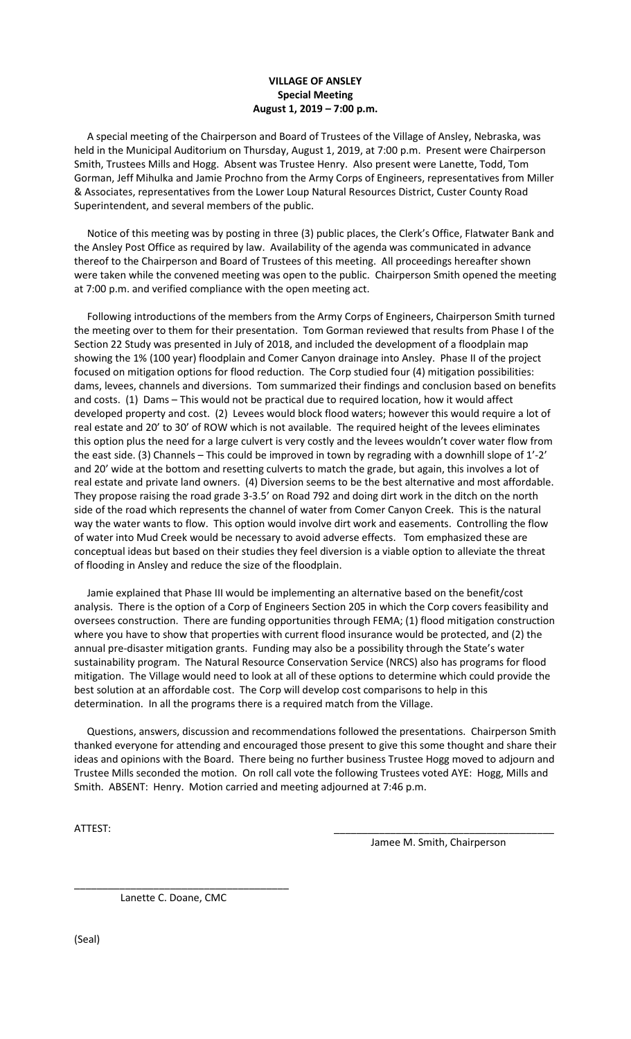## **VILLAGE OF ANSLEY Special Meeting August 1, 2019 – 7:00 p.m.**

 A special meeting of the Chairperson and Board of Trustees of the Village of Ansley, Nebraska, was held in the Municipal Auditorium on Thursday, August 1, 2019, at 7:00 p.m. Present were Chairperson Smith, Trustees Mills and Hogg. Absent was Trustee Henry. Also present were Lanette, Todd, Tom Gorman, Jeff Mihulka and Jamie Prochno from the Army Corps of Engineers, representatives from Miller & Associates, representatives from the Lower Loup Natural Resources District, Custer County Road Superintendent, and several members of the public.

 Notice of this meeting was by posting in three (3) public places, the Clerk's Office, Flatwater Bank and the Ansley Post Office as required by law. Availability of the agenda was communicated in advance thereof to the Chairperson and Board of Trustees of this meeting. All proceedings hereafter shown were taken while the convened meeting was open to the public. Chairperson Smith opened the meeting at 7:00 p.m. and verified compliance with the open meeting act.

 Following introductions of the members from the Army Corps of Engineers, Chairperson Smith turned the meeting over to them for their presentation. Tom Gorman reviewed that results from Phase I of the Section 22 Study was presented in July of 2018, and included the development of a floodplain map showing the 1% (100 year) floodplain and Comer Canyon drainage into Ansley. Phase II of the project focused on mitigation options for flood reduction. The Corp studied four (4) mitigation possibilities: dams, levees, channels and diversions. Tom summarized their findings and conclusion based on benefits and costs. (1) Dams – This would not be practical due to required location, how it would affect developed property and cost. (2) Levees would block flood waters; however this would require a lot of real estate and 20' to 30' of ROW which is not available. The required height of the levees eliminates this option plus the need for a large culvert is very costly and the levees wouldn't cover water flow from the east side. (3) Channels – This could be improved in town by regrading with a downhill slope of 1'-2' and 20' wide at the bottom and resetting culverts to match the grade, but again, this involves a lot of real estate and private land owners. (4) Diversion seems to be the best alternative and most affordable. They propose raising the road grade 3-3.5' on Road 792 and doing dirt work in the ditch on the north side of the road which represents the channel of water from Comer Canyon Creek. This is the natural way the water wants to flow. This option would involve dirt work and easements. Controlling the flow of water into Mud Creek would be necessary to avoid adverse effects. Tom emphasized these are conceptual ideas but based on their studies they feel diversion is a viable option to alleviate the threat of flooding in Ansley and reduce the size of the floodplain.

 Jamie explained that Phase III would be implementing an alternative based on the benefit/cost analysis. There is the option of a Corp of Engineers Section 205 in which the Corp covers feasibility and oversees construction. There are funding opportunities through FEMA; (1) flood mitigation construction where you have to show that properties with current flood insurance would be protected, and (2) the annual pre-disaster mitigation grants. Funding may also be a possibility through the State's water sustainability program. The Natural Resource Conservation Service (NRCS) also has programs for flood mitigation. The Village would need to look at all of these options to determine which could provide the best solution at an affordable cost. The Corp will develop cost comparisons to help in this determination. In all the programs there is a required match from the Village.

 Questions, answers, discussion and recommendations followed the presentations. Chairperson Smith thanked everyone for attending and encouraged those present to give this some thought and share their ideas and opinions with the Board. There being no further business Trustee Hogg moved to adjourn and Trustee Mills seconded the motion. On roll call vote the following Trustees voted AYE: Hogg, Mills and Smith. ABSENT: Henry. Motion carried and meeting adjourned at 7:46 p.m.

ATTEST: \_\_\_\_\_\_\_\_\_\_\_\_\_\_\_\_\_\_\_\_\_\_\_\_\_\_\_\_\_\_\_\_\_\_\_\_\_\_\_

Jamee M. Smith, Chairperson

\_\_\_\_\_\_\_\_\_\_\_\_\_\_\_\_\_\_\_\_\_\_\_\_\_\_\_\_\_\_\_\_\_\_\_\_\_\_ Lanette C. Doane, CMC

(Seal)